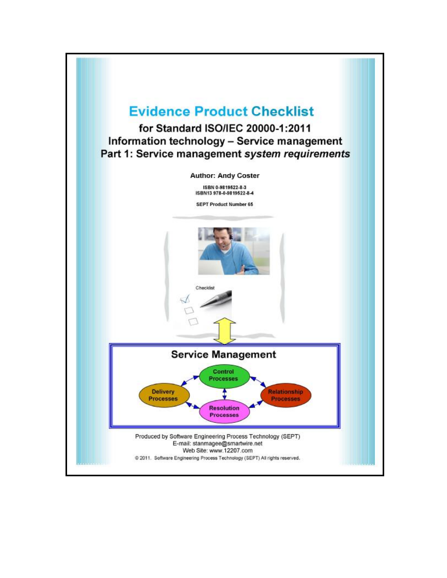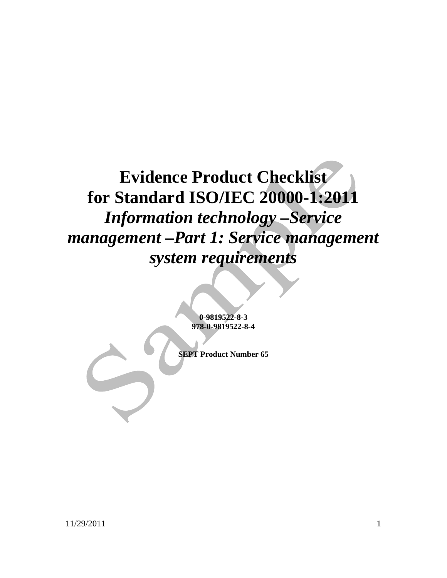# **Evidence Product Checklist for Standard ISO/IEC 20000-1:2011**  *Information technology –Service management –Part 1: Service management system requirements*

**0-9819522-8-3 978-0-9819522-8-4** 

**SEPT Product Number 65**

11/29/2011 1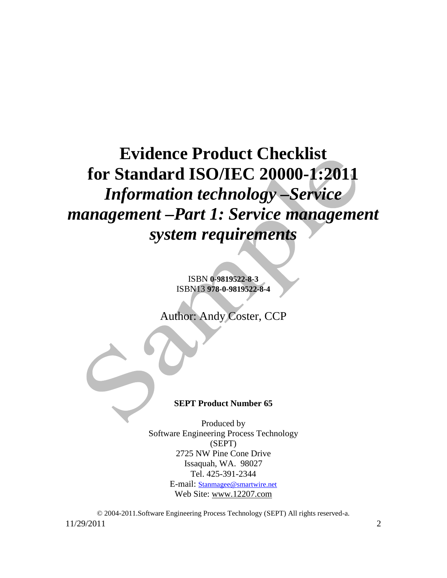# **Evidence Product Checklist for Standard ISO/IEC 20000-1:2011**  *Information technology –Service management –Part 1: Service management system requirements*

ISBN **0-9819522-8-3**  ISBN13 **978-0-9819522-8-4**

Author: Andy Coster, CCP

#### **SEPT Product Number 65**

Produced by Software Engineering Process Technology (SEPT) 2725 NW Pine Cone Drive Issaquah, WA. 98027 Tel. 425-391-2344 E-mail: [Stanmagee@smartwire.net](mailto:Stanmagee@smartwire.net) Web Site: [www.12207.com](http://www.12207.com)

11/29/2011 2 © 2004-2011.Software Engineering Process Technology (SEPT) All rights reserved-a.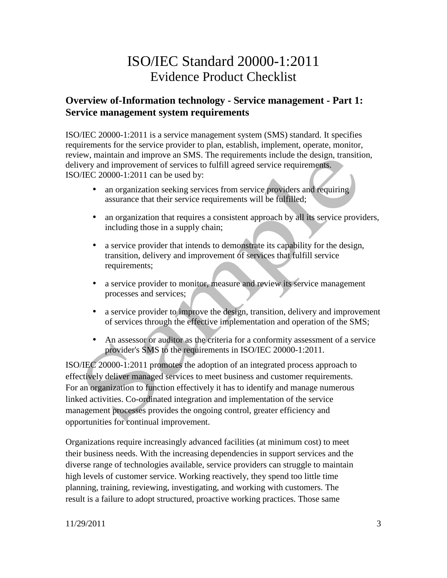# ISO/IEC Standard 20000-1:2011 Evidence Product Checklist

#### **Overview of-Information technology - Service management - Part 1: Service management system requirements**

ISO/IEC 20000-1:2011 is a service management system (SMS) standard. It specifies requirements for the service provider to plan, establish, implement, operate, monitor, review, maintain and improve an SMS. The requirements include the design, transition, delivery and improvement of services to fulfill agreed service requirements. ISO/IEC 20000-1:2011 can be used by:

- an organization seeking services from service providers and requiring assurance that their service requirements will be fulfilled;
- an organization that requires a consistent approach by all its service providers, including those in a supply chain;
- a service provider that intends to demonstrate its capability for the design, transition, delivery and improvement of services that fulfill service requirements;
- a service provider to monitor, measure and review its service management processes and services;
- a service provider to improve the design, transition, delivery and improvement of services through the effective implementation and operation of the SMS;
- An assessor or auditor as the criteria for a conformity assessment of a service provider's SMS to the requirements in ISO/IEC 20000-1:2011.

ISO/IEC 20000-1:2011 promotes the adoption of an integrated process approach to effectively deliver managed services to meet business and customer requirements. For an organization to function effectively it has to identify and manage numerous linked activities. Co-ordinated integration and implementation of the service management processes provides the ongoing control, greater efficiency and opportunities for continual improvement.

Organizations require increasingly advanced facilities (at minimum cost) to meet their business needs. With the increasing dependencies in support services and the diverse range of technologies available, service providers can struggle to maintain high levels of customer service. Working reactively, they spend too little time planning, training, reviewing, investigating, and working with customers. The result is a failure to adopt structured, proactive working practices. Those same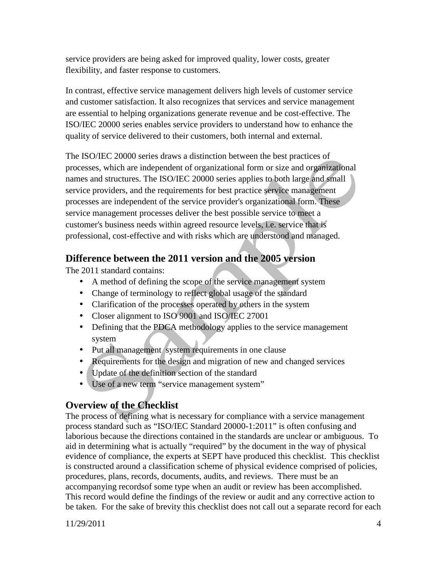service providers are being asked for improved quality, lower costs, greater flexibility, and faster response to customers.

In contrast, effective service management delivers high levels of customer service and customer satisfaction. It also recognizes that services and service management are essential to helping organizations generate revenue and be cost-effective. The ISO/IEC 20000 series enables service providers to understand how to enhance the quality of service delivered to their customers, both internal and external.

The ISO/IEC 20000 series draws a distinction between the best practices of processes, which are independent of organizational form or size and organizational names and structures. The ISO/IEC 20000 series applies to both large and small service providers, and the requirements for best practice service management processes are independent of the service provider's organizational form. These service management processes deliver the best possible service to meet a customer's business needs within agreed resource levels, i.e. service that is professional, cost-effective and with risks which are understood and managed.

### **Difference between the 2011 version and the 2005 version**

The 2011 standard contains:

- A method of defining the scope of the service management system
- Change of terminology to reflect global usage of the standard
- Clarification of the processes operated by others in the system
- Closer alignment to ISO 9001 and ISO/IEC 27001
- Defining that the PDCA methodology applies to the service management system
- Put all management system requirements in one clause
- Requirements for the design and migration of new and changed services
- Update of the definition section of the standard
- Use of a new term "service management system"

## **Overview of the Checklist**

The process of defining what is necessary for compliance with a service management process standard such as "ISO/IEC Standard 20000-1:2011" is often confusing and laborious because the directions contained in the standards are unclear or ambiguous. To aid in determining what is actually "required" by the document in the way of physical evidence of compliance, the experts at SEPT have produced this checklist. This checklist is constructed around a classification scheme of physical evidence comprised of policies, procedures, plans, records, documents, audits, and reviews. There must be an accompanying recordsof some type when an audit or review has been accomplished. This record would define the findings of the review or audit and any corrective action to be taken. For the sake of brevity this checklist does not call out a separate record for each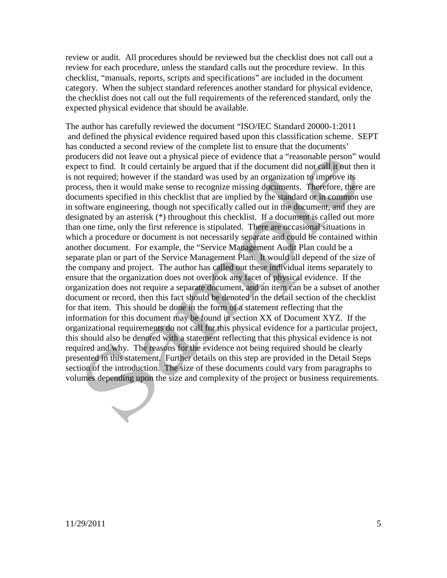review or audit. All procedures should be reviewed but the checklist does not call out a review for each procedure, unless the standard calls out the procedure review. In this checklist, "manuals, reports, scripts and specifications" are included in the document category. When the subject standard references another standard for physical evidence, the checklist does not call out the full requirements of the referenced standard, only the expected physical evidence that should be available.

The author has carefully reviewed the document "ISO/IEC Standard 20000-1:2011 and defined the physical evidence required based upon this classification scheme. SEPT has conducted a second review of the complete list to ensure that the documents' producers did not leave out a physical piece of evidence that a "reasonable person" would expect to find. It could certainly be argued that if the document did not call it out then it is not required; however if the standard was used by an organization to improve its process, then it would make sense to recognize missing documents. Therefore, there are documents specified in this checklist that are implied by the standard or in common use in software engineering, though not specifically called out in the document, and they are designated by an asterisk (\*) throughout this checklist. If a document is called out more than one time, only the first reference is stipulated. There are occasional situations in which a procedure or document is not necessarily separate and could be contained within another document. For example, the "Service Management Audit Plan could be a separate plan or part of the Service Management Plan. It would all depend of the size of the company and project. The author has called out these individual items separately to ensure that the organization does not overlook any facet of physical evidence. If the organization does not require a separate document, and an item can be a subset of another document or record, then this fact should be denoted in the detail section of the checklist for that item. This should be done in the form of a statement reflecting that the information for this document may be found in section XX of Document XYZ. If the organizational requirements do not call for this physical evidence for a particular project, this should also be denoted with a statement reflecting that this physical evidence is not required and why. The reasons for the evidence not being required should be clearly presented in this statement. Further details on this step are provided in the Detail Steps section of the introduction. The size of these documents could vary from paragraphs to volumes depending upon the size and complexity of the project or business requirements.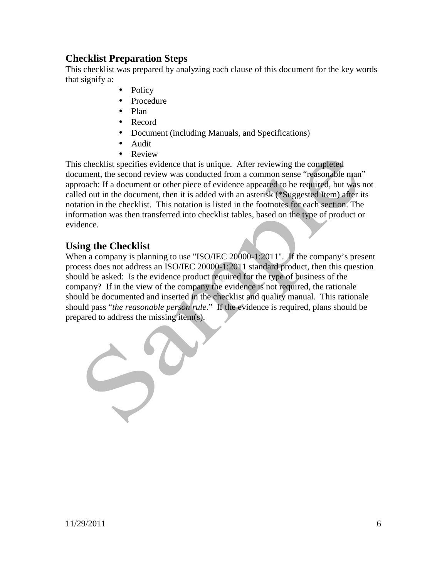#### **Checklist Preparation Steps**

This checklist was prepared by analyzing each clause of this document for the key words that signify a:

- Policy
- Procedure
- Plan
- Record
- Document (including Manuals, and Specifications)
- Audit
- Review

This checklist specifies evidence that is unique. After reviewing the completed document, the second review was conducted from a common sense "reasonable man" approach: If a document or other piece of evidence appeared to be required, but was not called out in the document, then it is added with an asterisk (\*Suggested Item) after its notation in the checklist. This notation is listed in the footnotes for each section. The information was then transferred into checklist tables, based on the type of product or evidence.

#### **Using the Checklist**

When a company is planning to use "ISO/IEC 20000-1:2011". If the company's present process does not address an ISO/IEC 20000-1:2011 standard product, then this question should be asked: Is the evidence product required for the type of business of the company? If in the view of the company the evidence is not required, the rationale should be documented and inserted in the checklist and quality manual. This rationale should pass "*the reasonable person rule*." If the evidence is required, plans should be prepared to address the missing item(s).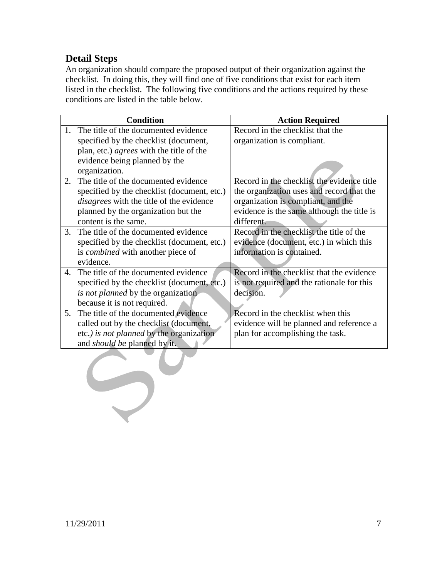### **Detail Steps**

An organization should compare the proposed output of their organization against the checklist. In doing this, they will find one of five conditions that exist for each item listed in the checklist. The following five conditions and the actions required by these conditions are listed in the table below.

|    | <b>Condition</b>                            | <b>Action Required</b>                     |
|----|---------------------------------------------|--------------------------------------------|
| 1. | The title of the documented evidence        | Record in the checklist that the           |
|    | specified by the checklist (document,       | organization is compliant.                 |
|    | plan, etc.) agrees with the title of the    |                                            |
|    | evidence being planned by the               |                                            |
|    | organization.                               |                                            |
| 2. | The title of the documented evidence        | Record in the checklist the evidence title |
|    | specified by the checklist (document, etc.) | the organization uses and record that the  |
|    | disagrees with the title of the evidence    | organization is compliant, and the         |
|    | planned by the organization but the         | evidence is the same although the title is |
|    | content is the same.                        | different.                                 |
| 3. | The title of the documented evidence        | Record in the checklist the title of the   |
|    | specified by the checklist (document, etc.) | evidence (document, etc.) in which this    |
|    | is combined with another piece of           | information is contained.                  |
|    | evidence.                                   |                                            |
| 4. | The title of the documented evidence        | Record in the checklist that the evidence  |
|    | specified by the checklist (document, etc.) | is not required and the rationale for this |
|    | <i>is not planned</i> by the organization   | decision.                                  |
|    | because it is not required.                 |                                            |
| 5. | The title of the documented evidence        | Record in the checklist when this          |
|    | called out by the checklist (document,      | evidence will be planned and reference a   |
|    | etc.) is not planned by the organization    | plan for accomplishing the task.           |
|    | and should be planned by it.                |                                            |
|    |                                             |                                            |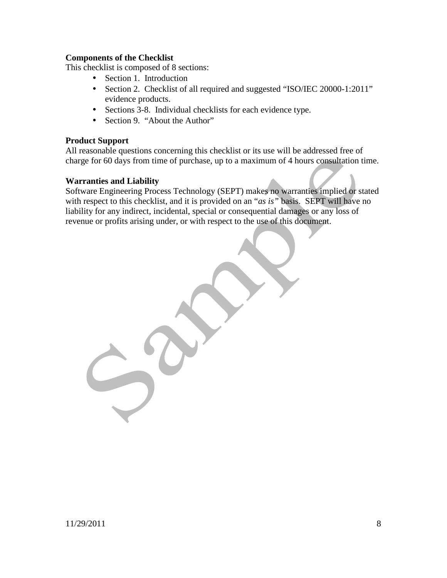#### **Components of the Checklist**

This checklist is composed of 8 sections:

- Section 1. Introduction
- Section 2. Checklist of all required and suggested "ISO/IEC 20000-1:2011" evidence products.
- Sections 3-8. Individual checklists for each evidence type.
- Section 9. "About the Author"

#### **Product Support**

All reasonable questions concerning this checklist or its use will be addressed free of charge for 60 days from time of purchase, up to a maximum of 4 hours consultation time.

#### **Warranties and Liability**

Software Engineering Process Technology (SEPT) makes no warranties implied or stated with respect to this checklist, and it is provided on an "*as is"* basis. SEPT will have no liability for any indirect, incidental, special or consequential damages or any loss of revenue or profits arising under, or with respect to the use of this document.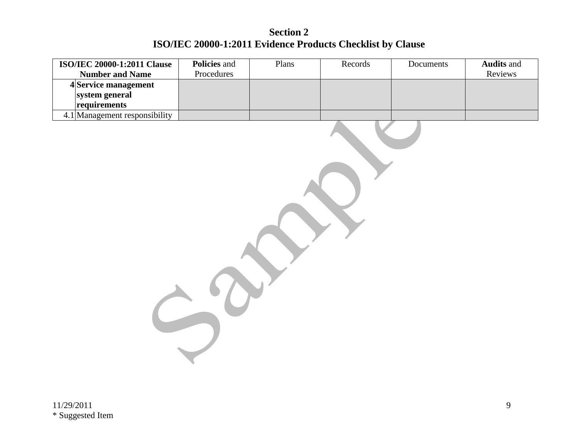# **Section 2 ISO/IEC 20000-1:2011 Evidence Products Checklist by Clause**

| <b>ISO/IEC 20000-1:2011 Clause</b><br><b>Number and Name</b> | Policies and<br>Procedures | Plans | Records | Documents | <b>Audits</b> and<br>Reviews |
|--------------------------------------------------------------|----------------------------|-------|---------|-----------|------------------------------|
| 4Service management                                          |                            |       |         |           |                              |
| system general                                               |                            |       |         |           |                              |
| requirements                                                 |                            |       |         |           |                              |
| 4.1 Management responsibility                                |                            |       |         |           |                              |
|                                                              |                            |       |         |           |                              |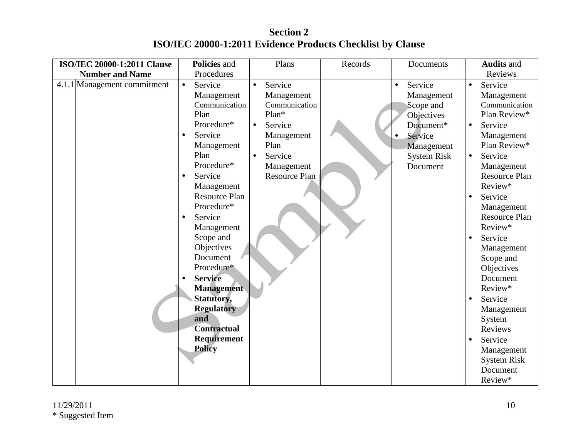**Section 2 ISO/IEC 20000-1:2011 Evidence Products Checklist by Clause** 

| <b>ISO/IEC 20000-1:2011 Clause</b> | <b>Policies</b> and                                                                                                                                                                                                                                                                                                                                                                                                                                        | Plans                                                                                                                                                                      | Records | Documents                                                                                                                | <b>Audits and</b>                                                                                                                                                                                                                                                                                                                                                                                                                                                                       |
|------------------------------------|------------------------------------------------------------------------------------------------------------------------------------------------------------------------------------------------------------------------------------------------------------------------------------------------------------------------------------------------------------------------------------------------------------------------------------------------------------|----------------------------------------------------------------------------------------------------------------------------------------------------------------------------|---------|--------------------------------------------------------------------------------------------------------------------------|-----------------------------------------------------------------------------------------------------------------------------------------------------------------------------------------------------------------------------------------------------------------------------------------------------------------------------------------------------------------------------------------------------------------------------------------------------------------------------------------|
| <b>Number and Name</b>             | Procedures                                                                                                                                                                                                                                                                                                                                                                                                                                                 |                                                                                                                                                                            |         |                                                                                                                          | Reviews                                                                                                                                                                                                                                                                                                                                                                                                                                                                                 |
| 4.1.1 Management commitment        | Service<br>$\bullet$<br>Management<br>Communication<br>Plan<br>Procedure*<br>Service<br>$\bullet$<br>Management<br>Plan<br>Procedure*<br>Service<br>$\bullet$<br>Management<br><b>Resource Plan</b><br>Procedure*<br>Service<br>$\bullet$<br>Management<br>Scope and<br>Objectives<br>Document<br>Procedure*<br><b>Service</b><br><b>Management</b><br><b>Statutory,</b><br><b>Regulatory</b><br>and<br><b>Contractual</b><br>Requirement<br><b>Policy</b> | Service<br>$\bullet$<br>Management<br>Communication<br>$Plan*$<br>Service<br>$\bullet$<br>Management<br>Plan<br>Service<br>$\bullet$<br>Management<br><b>Resource Plan</b> |         | Service<br>Management<br>Scope and<br>Objectives<br>Document*<br>Service<br>Management<br><b>System Risk</b><br>Document | Service<br>$\bullet$<br>Management<br>Communication<br>Plan Review*<br>Service<br>$\bullet$<br>Management<br>Plan Review*<br>Service<br>$\bullet$<br>Management<br><b>Resource Plan</b><br>Review*<br>Service<br>$\bullet$<br>Management<br><b>Resource Plan</b><br>Review*<br>Service<br>Management<br>Scope and<br>Objectives<br>Document<br>Review*<br>Service<br>Management<br>System<br>Reviews<br>Service<br>$\bullet$<br>Management<br><b>System Risk</b><br>Document<br>Review* |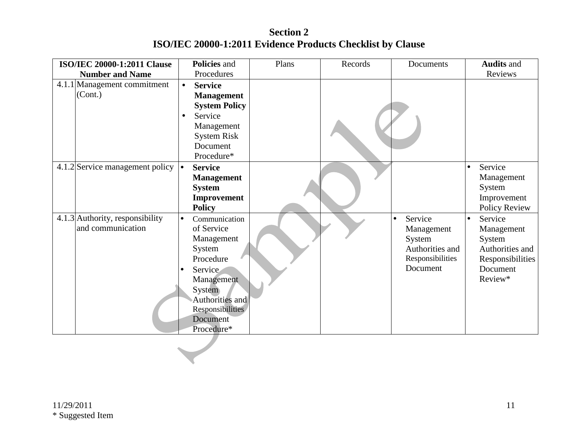**Section 2 ISO/IEC 20000-1:2011 Evidence Products Checklist by Clause** 

| <b>ISO/IEC 20000-1:2011 Clause</b>     | Policies and                 | Plans | Records | Documents            | <b>Audits and</b>    |
|----------------------------------------|------------------------------|-------|---------|----------------------|----------------------|
| <b>Number and Name</b>                 | Procedures                   |       |         |                      | Reviews              |
| 4.1.1 Management commitment<br>(Cont.) | <b>Service</b><br>$\bullet$  |       |         |                      |                      |
|                                        | <b>Management</b>            |       |         |                      |                      |
|                                        | <b>System Policy</b>         |       |         |                      |                      |
|                                        | Service<br>$\bullet$         |       |         |                      |                      |
|                                        | Management                   |       |         |                      |                      |
|                                        | <b>System Risk</b>           |       |         |                      |                      |
|                                        | Document<br>Procedure*       |       |         |                      |                      |
|                                        |                              |       |         |                      |                      |
| 4.1.2 Service management policy        | <b>Service</b><br>l.         |       |         |                      | Service              |
|                                        | <b>Management</b>            |       |         |                      | Management           |
|                                        | <b>System</b>                |       |         |                      | System               |
|                                        | Improvement                  |       |         |                      | Improvement          |
|                                        | <b>Policy</b>                |       |         |                      | Policy Review        |
| 4.1.3 Authority, responsibility        | Communication<br>$\bullet$   |       |         | Service<br>$\bullet$ | Service<br>$\bullet$ |
| and communication                      | of Service                   |       |         | Management           | Management           |
|                                        | Management                   |       |         | System               | System               |
|                                        | System                       |       |         | Authorities and      | Authorities and      |
|                                        | Procedure                    |       |         | Responsibilities     | Responsibilities     |
|                                        | Service<br>$\bullet$         |       |         | Document             | Document             |
|                                        | Management                   |       |         |                      | Review*              |
|                                        | System                       |       |         |                      |                      |
|                                        | Authorities and              |       |         |                      |                      |
|                                        | Responsibilities<br>Document |       |         |                      |                      |
|                                        | Procedure*                   |       |         |                      |                      |
|                                        |                              |       |         |                      |                      |
|                                        |                              |       |         |                      |                      |
|                                        |                              |       |         |                      |                      |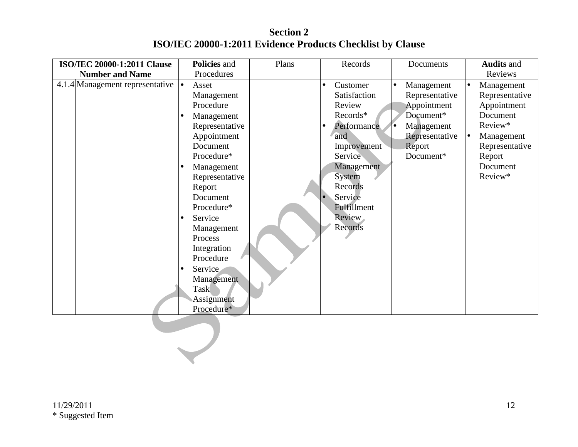**Section 2 ISO/IEC 20000-1:2011 Evidence Products Checklist by Clause** 

| ISO/IEC 20000-1:2011 Clause                           | Policies and         | Plans | Records               | Documents               | <b>Audits and</b>       |
|-------------------------------------------------------|----------------------|-------|-----------------------|-------------------------|-------------------------|
| <b>Number and Name</b>                                | Procedures           |       |                       |                         | Reviews                 |
| 4.1.4 Management representative $\vert \bullet \vert$ | Asset                |       | Customer<br>$\bullet$ | Management<br>$\bullet$ | $\bullet$<br>Management |
|                                                       | Management           |       | Satisfaction          | Representative          | Representative          |
|                                                       | Procedure            |       | Review                | Appointment             | Appointment             |
|                                                       | Management           |       | Records*              | Document*               | Document                |
|                                                       | Representative       |       | Performance           | Management              | Review*                 |
|                                                       | Appointment          |       | and                   | Representative          | $\bullet$<br>Management |
|                                                       | Document             |       | Improvement           | Report                  | Representative          |
|                                                       | Procedure*           |       | Service               | Document*               | Report                  |
|                                                       | Management           |       | Management            |                         | Document                |
|                                                       | Representative       |       | System                |                         | Review*                 |
|                                                       | Report               |       | Records               |                         |                         |
|                                                       | Document             |       | Service               |                         |                         |
|                                                       | Procedure*           |       | Fulfillment           |                         |                         |
|                                                       | Service              |       | Review                |                         |                         |
|                                                       | Management           |       | Records               |                         |                         |
|                                                       | Process              |       |                       |                         |                         |
|                                                       | Integration          |       |                       |                         |                         |
|                                                       | Procedure            |       |                       |                         |                         |
|                                                       | Service<br>$\bullet$ |       |                       |                         |                         |
|                                                       | Management           |       |                       |                         |                         |
|                                                       | Task                 |       |                       |                         |                         |
|                                                       | Assignment           |       |                       |                         |                         |
|                                                       | Procedure*           |       |                       |                         |                         |
|                                                       |                      |       |                       |                         |                         |
|                                                       |                      |       |                       |                         |                         |
|                                                       |                      |       |                       |                         |                         |
|                                                       |                      |       |                       |                         |                         |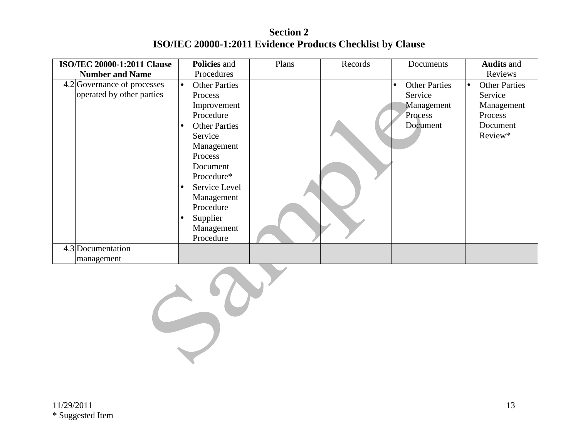**Section 2 ISO/IEC 20000-1:2011 Evidence Products Checklist by Clause** 

| <b>ISO/IEC 20000-1:2011 Clause</b> | <b>Policies and</b>               | Plans | Records | Documents                         | <b>Audits and</b>           |
|------------------------------------|-----------------------------------|-------|---------|-----------------------------------|-----------------------------|
| <b>Number and Name</b>             | Procedures                        |       |         |                                   | Reviews                     |
| 4.2 Governance of processes        | <b>Other Parties</b><br>$\bullet$ |       |         | <b>Other Parties</b><br>$\bullet$ | <b>Other Parties</b><br>le. |
| operated by other parties          | Process                           |       |         | Service                           | Service                     |
|                                    | Improvement                       |       |         | Management                        | Management                  |
|                                    | Procedure                         |       |         | Process                           | Process                     |
|                                    | <b>Other Parties</b><br>$\bullet$ |       |         | Document                          | Document                    |
|                                    | Service                           |       |         |                                   | Review*                     |
|                                    | Management                        |       |         |                                   |                             |
|                                    | Process                           |       |         |                                   |                             |
|                                    | Document                          |       |         |                                   |                             |
|                                    | Procedure*                        |       |         |                                   |                             |
|                                    | Service Level<br>$\bullet$        |       |         |                                   |                             |
|                                    | Management                        |       |         |                                   |                             |
|                                    | Procedure                         |       |         |                                   |                             |
|                                    | Supplier                          |       |         |                                   |                             |
|                                    | Management                        |       |         |                                   |                             |
|                                    | Procedure                         |       |         |                                   |                             |
| 4.3 Documentation                  |                                   |       |         |                                   |                             |
| management                         |                                   |       |         |                                   |                             |